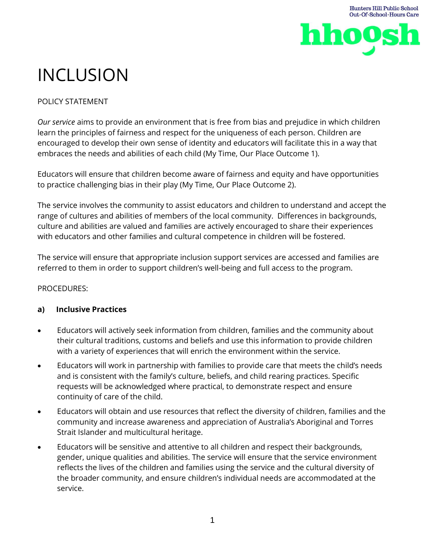

# INCLUSION

## POLICY STATEMENT

*Our service* aims to provide an environment that is free from bias and prejudice in which children learn the principles of fairness and respect for the uniqueness of each person. Children are encouraged to develop their own sense of identity and educators will facilitate this in a way that embraces the needs and abilities of each child (My Time, Our Place Outcome 1).

Educators will ensure that children become aware of fairness and equity and have opportunities to practice challenging bias in their play (My Time, Our Place Outcome 2).

The service involves the community to assist educators and children to understand and accept the range of cultures and abilities of members of the local community. Differences in backgrounds, culture and abilities are valued and families are actively encouraged to share their experiences with educators and other families and cultural competence in children will be fostered.

The service will ensure that appropriate inclusion support services are accessed and families are referred to them in order to support children's well-being and full access to the program.

### PROCEDURES:

## **a) Inclusive Practices**

- Educators will actively seek information from children, families and the community about their cultural traditions, customs and beliefs and use this information to provide children with a variety of experiences that will enrich the environment within the service.
- Educators will work in partnership with families to provide care that meets the child's needs and is consistent with the family's culture, beliefs, and child rearing practices. Specific requests will be acknowledged where practical, to demonstrate respect and ensure continuity of care of the child.
- Educators will obtain and use resources that reflect the diversity of children, families and the community and increase awareness and appreciation of Australia's Aboriginal and Torres Strait Islander and multicultural heritage.
- Educators will be sensitive and attentive to all children and respect their backgrounds, gender, unique qualities and abilities. The service will ensure that the service environment reflects the lives of the children and families using the service and the cultural diversity of the broader community, and ensure children's individual needs are accommodated at the service.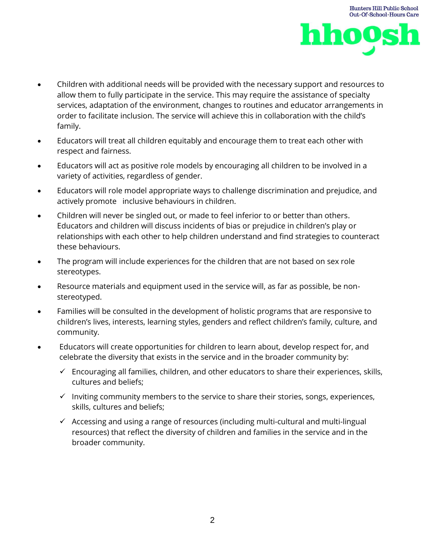

**Hunters Hill Public School** 

- Children with additional needs will be provided with the necessary support and resources to allow them to fully participate in the service. This may require the assistance of specialty services, adaptation of the environment, changes to routines and educator arrangements in order to facilitate inclusion. The service will achieve this in collaboration with the child's family.
- Educators will treat all children equitably and encourage them to treat each other with respect and fairness.
- Educators will act as positive role models by encouraging all children to be involved in a variety of activities, regardless of gender.
- Educators will role model appropriate ways to challenge discrimination and prejudice, and actively promote inclusive behaviours in children.
- Children will never be singled out, or made to feel inferior to or better than others. Educators and children will discuss incidents of bias or prejudice in children's play or relationships with each other to help children understand and find strategies to counteract these behaviours.
- The program will include experiences for the children that are not based on sex role stereotypes.
- Resource materials and equipment used in the service will, as far as possible, be nonstereotyped.
- Families will be consulted in the development of holistic programs that are responsive to children's lives, interests, learning styles, genders and reflect children's family, culture, and community.
- Educators will create opportunities for children to learn about, develop respect for, and celebrate the diversity that exists in the service and in the broader community by:
	- ✓ Encouraging all families, children, and other educators to share their experiences, skills, cultures and beliefs;
	- $\checkmark$  Inviting community members to the service to share their stories, songs, experiences, skills, cultures and beliefs;
	- $\checkmark$  Accessing and using a range of resources (including multi-cultural and multi-lingual resources) that reflect the diversity of children and families in the service and in the broader community.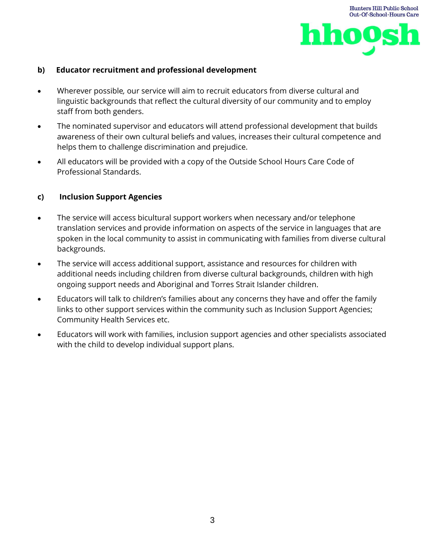

#### **b) Educator recruitment and professional development**

- Wherever possible*,* our service will aim to recruit educators from diverse cultural and linguistic backgrounds that reflect the cultural diversity of our community and to employ staff from both genders.
- The nominated supervisor and educators will attend professional development that builds awareness of their own cultural beliefs and values, increases their cultural competence and helps them to challenge discrimination and prejudice.
- All educators will be provided with a copy of the Outside School Hours Care Code of Professional Standards.

#### **c) Inclusion Support Agencies**

- The service will access bicultural support workers when necessary and/or telephone translation services and provide information on aspects of the service in languages that are spoken in the local community to assist in communicating with families from diverse cultural backgrounds.
- The service will access additional support, assistance and resources for children with additional needs including children from diverse cultural backgrounds, children with high ongoing support needs and Aboriginal and Torres Strait Islander children.
- Educators will talk to children's families about any concerns they have and offer the family links to other support services within the community such as Inclusion Support Agencies; Community Health Services etc.
- Educators will work with families, inclusion support agencies and other specialists associated with the child to develop individual support plans.